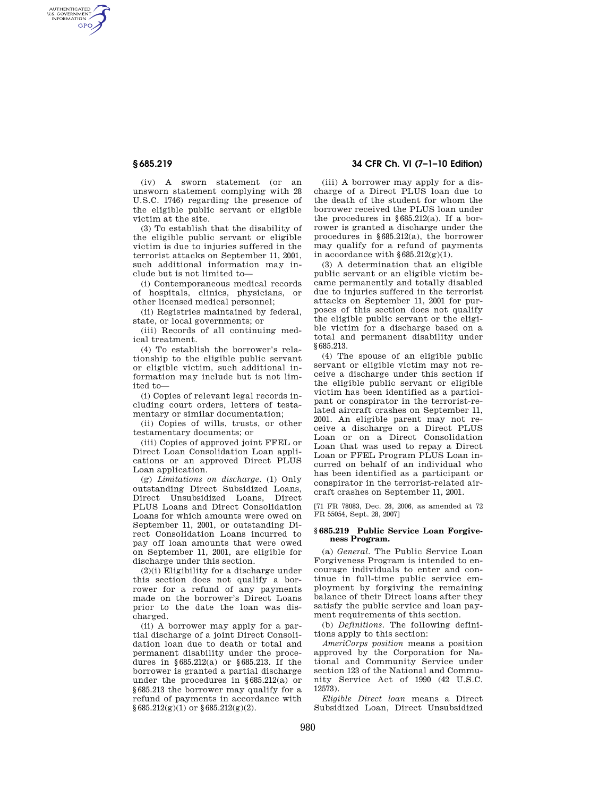AUTHENTICATED<br>U.S. GOVERNMENT<br>INFORMATION **GPO** 

> (iv) A sworn statement (or an unsworn statement complying with 28 U.S.C. 1746) regarding the presence of the eligible public servant or eligible victim at the site.

> (3) To establish that the disability of the eligible public servant or eligible victim is due to injuries suffered in the terrorist attacks on September 11, 2001, such additional information may include but is not limited to—

> (i) Contemporaneous medical records of hospitals, clinics, physicians, or other licensed medical personnel;

> (ii) Registries maintained by federal, state, or local governments; or

> (iii) Records of all continuing medical treatment.

> (4) To establish the borrower's relationship to the eligible public servant or eligible victim, such additional information may include but is not limited to—

> (i) Copies of relevant legal records including court orders, letters of testamentary or similar documentation;

> (ii) Copies of wills, trusts, or other testamentary documents; or

> (iii) Copies of approved joint FFEL or Direct Loan Consolidation Loan applications or an approved Direct PLUS Loan application.

> (g) *Limitations on discharge.* (1) Only outstanding Direct Subsidized Loans, Direct Unsubsidized Loans, Direct PLUS Loans and Direct Consolidation Loans for which amounts were owed on September 11, 2001, or outstanding Direct Consolidation Loans incurred to pay off loan amounts that were owed on September 11, 2001, are eligible for discharge under this section.

> (2)(i) Eligibility for a discharge under this section does not qualify a borrower for a refund of any payments made on the borrower's Direct Loans prior to the date the loan was discharged.

> (ii) A borrower may apply for a partial discharge of a joint Direct Consolidation loan due to death or total and permanent disability under the procedures in §685.212(a) or §685.213. If the borrower is granted a partial discharge under the procedures in §685.212(a) or §685.213 the borrower may qualify for a refund of payments in accordance with  $§685.212(g)(1)$  or  $§685.212(g)(2)$ .

# **§ 685.219 34 CFR Ch. VI (7–1–10 Edition)**

(iii) A borrower may apply for a discharge of a Direct PLUS loan due to the death of the student for whom the borrower received the PLUS loan under the procedures in §685.212(a). If a borrower is granted a discharge under the procedures in §685.212(a), the borrower may qualify for a refund of payments in accordance with  $§685.212(g)(1)$ .

(3) A determination that an eligible public servant or an eligible victim became permanently and totally disabled due to injuries suffered in the terrorist attacks on September 11, 2001 for purposes of this section does not qualify the eligible public servant or the eligible victim for a discharge based on a total and permanent disability under §685.213.

(4) The spouse of an eligible public servant or eligible victim may not receive a discharge under this section if the eligible public servant or eligible victim has been identified as a participant or conspirator in the terrorist-related aircraft crashes on September 11, 2001. An eligible parent may not receive a discharge on a Direct PLUS Loan or on a Direct Consolidation Loan that was used to repay a Direct Loan or FFEL Program PLUS Loan incurred on behalf of an individual who has been identified as a participant or conspirator in the terrorist-related aircraft crashes on September 11, 2001.

[71 FR 78083, Dec. 28, 2006, as amended at 72 FR 55054, Sept. 28, 2007]

### **§ 685.219 Public Service Loan Forgiveness Program.**

(a) *General.* The Public Service Loan Forgiveness Program is intended to encourage individuals to enter and continue in full-time public service employment by forgiving the remaining balance of their Direct loans after they satisfy the public service and loan payment requirements of this section.

(b) *Definitions.* The following definitions apply to this section:

*AmeriCorps position* means a position approved by the Corporation for National and Community Service under section 123 of the National and Community Service Act of 1990 (42 U.S.C. 12573).

*Eligible Direct loan* means a Direct Subsidized Loan, Direct Unsubsidized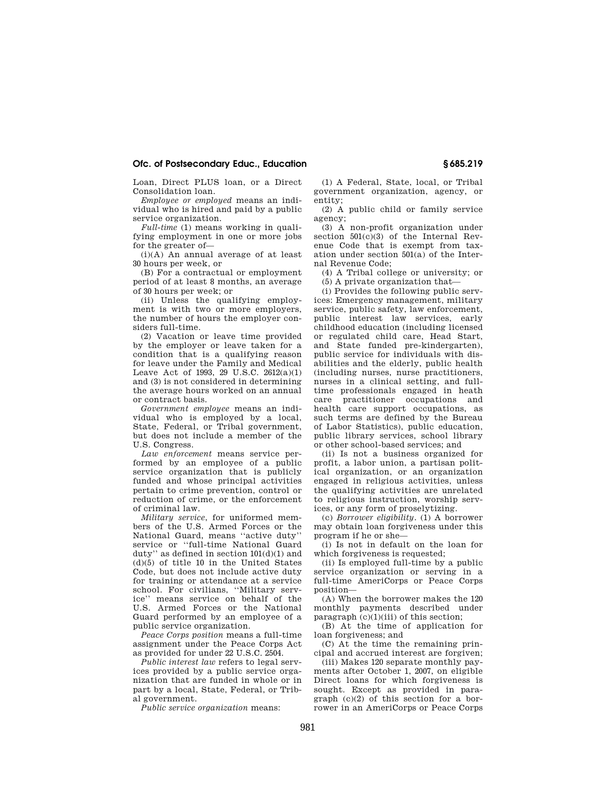## **Ofc. of Postsecondary Educ., Education § 685.219**

Loan, Direct PLUS loan, or a Direct Consolidation loan.

*Employee or employed* means an individual who is hired and paid by a public service organization.

*Full-time* (1) means working in qualifying employment in one or more jobs for the greater of—

(i)(A) An annual average of at least 30 hours per week, or

(B) For a contractual or employment period of at least 8 months, an average of 30 hours per week; or

(ii) Unless the qualifying employment is with two or more employers, the number of hours the employer considers full-time.

(2) Vacation or leave time provided by the employer or leave taken for a condition that is a qualifying reason for leave under the Family and Medical Leave Act of 1993, 29 U.S.C. 2612(a)(1) and (3) is not considered in determining the average hours worked on an annual or contract basis.

*Government employee* means an individual who is employed by a local, State, Federal, or Tribal government, but does not include a member of the U.S. Congress.

*Law enforcement* means service performed by an employee of a public service organization that is publicly funded and whose principal activities pertain to crime prevention, control or reduction of crime, or the enforcement of criminal law.

*Military service*, for uniformed members of the U.S. Armed Forces or the National Guard, means ''active duty'' service or ''full-time National Guard duty" as defined in section  $101(d)(1)$  and (d)(5) of title 10 in the United States Code, but does not include active duty for training or attendance at a service school. For civilians, ''Military service'' means service on behalf of the U.S. Armed Forces or the National Guard performed by an employee of a public service organization.

*Peace Corps position* means a full-time assignment under the Peace Corps Act as provided for under 22 U.S.C. 2504.

*Public interest law* refers to legal services provided by a public service organization that are funded in whole or in part by a local, State, Federal, or Tribal government.

*Public service organization* means:

(1) A Federal, State, local, or Tribal government organization, agency, or entity;

(2) A public child or family service agency;

(3) A non-profit organization under section  $501(c)(3)$  of the Internal Revenue Code that is exempt from taxation under section 501(a) of the Internal Revenue Code;

(4) A Tribal college or university; or (5) A private organization that—

(i) Provides the following public services: Emergency management, military service, public safety, law enforcement, public interest law services, early childhood education (including licensed or regulated child care, Head Start, and State funded pre-kindergarten), public service for individuals with disabilities and the elderly, public health (including nurses, nurse practitioners, nurses in a clinical setting, and fulltime professionals engaged in heath care practitioner occupations and health care support occupations, as such terms are defined by the Bureau of Labor Statistics), public education, public library services, school library or other school-based services; and

(ii) Is not a business organized for profit, a labor union, a partisan political organization, or an organization engaged in religious activities, unless the qualifying activities are unrelated to religious instruction, worship services, or any form of proselytizing.

(c) *Borrower eligibility.* (1) A borrower may obtain loan forgiveness under this program if he or she—

(i) Is not in default on the loan for which forgiveness is requested;

(ii) Is employed full-time by a public service organization or serving in a full-time AmeriCorps or Peace Corps position—

(A) When the borrower makes the 120 monthly payments described under paragraph (c)(1)(iii) of this section;

(B) At the time of application for loan forgiveness; and

(C) At the time the remaining principal and accrued interest are forgiven;

(iii) Makes 120 separate monthly payments after October 1, 2007, on eligible Direct loans for which forgiveness is sought. Except as provided in paragraph (c)(2) of this section for a borrower in an AmeriCorps or Peace Corps